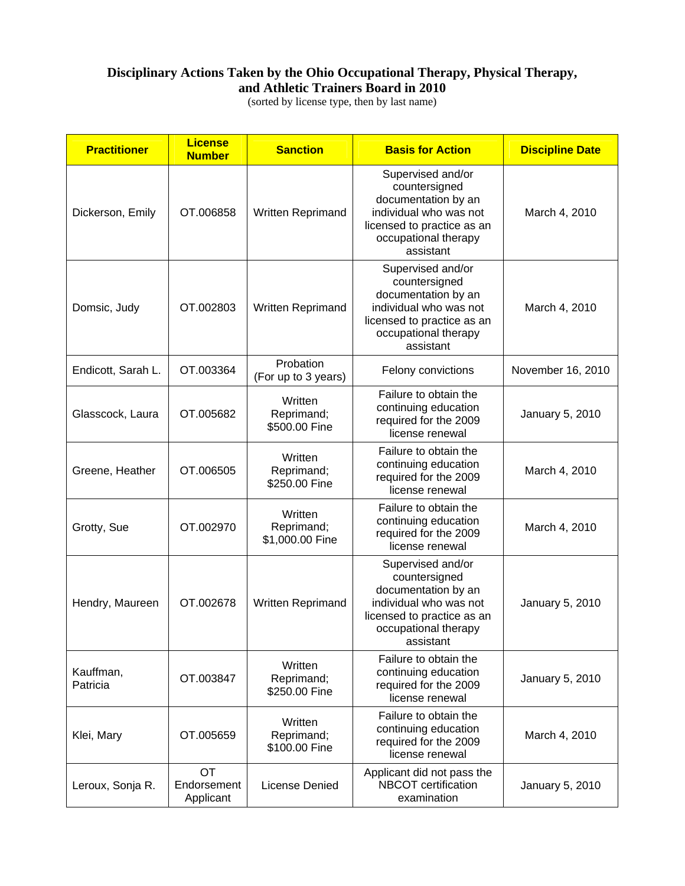## **Disciplinary Actions Taken by the Ohio Occupational Therapy, Physical Therapy, and Athletic Trainers Board in 2010**

(sorted by license type, then by last name)

| <b>Practitioner</b>   | <b>License</b><br><b>Number</b> | <b>Sanction</b>                          | <b>Basis for Action</b>                                                                                                                                | <b>Discipline Date</b> |
|-----------------------|---------------------------------|------------------------------------------|--------------------------------------------------------------------------------------------------------------------------------------------------------|------------------------|
| Dickerson, Emily      | OT.006858                       | Written Reprimand                        | Supervised and/or<br>countersigned<br>documentation by an<br>individual who was not<br>licensed to practice as an<br>occupational therapy<br>assistant | March 4, 2010          |
| Domsic, Judy          | OT.002803                       | Written Reprimand                        | Supervised and/or<br>countersigned<br>documentation by an<br>individual who was not<br>licensed to practice as an<br>occupational therapy<br>assistant | March 4, 2010          |
| Endicott, Sarah L.    | OT.003364                       | Probation<br>(For up to 3 years)         | Felony convictions                                                                                                                                     | November 16, 2010      |
| Glasscock, Laura      | OT.005682                       | Written<br>Reprimand;<br>\$500.00 Fine   | Failure to obtain the<br>continuing education<br>required for the 2009<br>license renewal                                                              | January 5, 2010        |
| Greene, Heather       | OT.006505                       | Written<br>Reprimand;<br>\$250.00 Fine   | Failure to obtain the<br>continuing education<br>required for the 2009<br>license renewal                                                              | March 4, 2010          |
| Grotty, Sue           | OT.002970                       | Written<br>Reprimand;<br>\$1,000.00 Fine | Failure to obtain the<br>continuing education<br>required for the 2009<br>license renewal                                                              | March 4, 2010          |
| Hendry, Maureen       | OT.002678                       | Written Reprimand                        | Supervised and/or<br>countersigned<br>documentation by an<br>individual who was not<br>licensed to practice as an<br>occupational therapy<br>assistant | January 5, 2010        |
| Kauffman,<br>Patricia | OT.003847                       | Written<br>Reprimand;<br>\$250.00 Fine   | Failure to obtain the<br>continuing education<br>required for the 2009<br>license renewal                                                              | January 5, 2010        |
| Klei, Mary            | OT.005659                       | Written<br>Reprimand;<br>\$100.00 Fine   | Failure to obtain the<br>continuing education<br>required for the 2009<br>license renewal                                                              | March 4, 2010          |
| Leroux, Sonja R.      | OT.<br>Endorsement<br>Applicant | License Denied                           | Applicant did not pass the<br>NBCOT certification<br>examination                                                                                       | January 5, 2010        |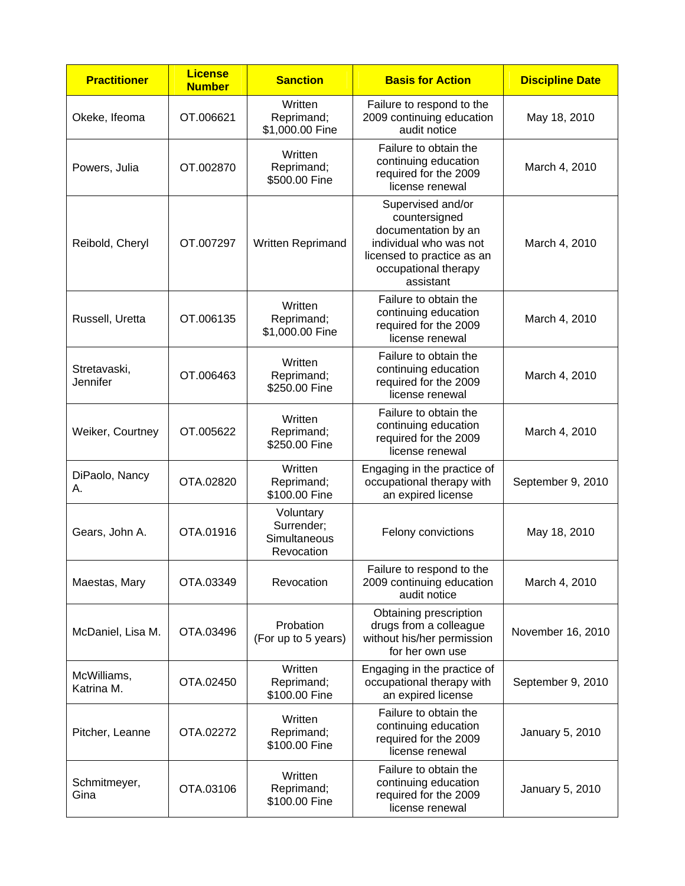| <b>Practitioner</b>             | <b>License</b><br><b>Number</b> | <b>Sanction</b>                                       | <b>Basis for Action</b>                                                                                                                                | <b>Discipline Date</b> |
|---------------------------------|---------------------------------|-------------------------------------------------------|--------------------------------------------------------------------------------------------------------------------------------------------------------|------------------------|
| Okeke, Ifeoma                   | OT.006621                       | Written<br>Reprimand;<br>\$1,000.00 Fine              | Failure to respond to the<br>2009 continuing education<br>audit notice                                                                                 | May 18, 2010           |
| Powers, Julia                   | OT.002870                       | Written<br>Reprimand;<br>\$500.00 Fine                | Failure to obtain the<br>continuing education<br>required for the 2009<br>license renewal                                                              | March 4, 2010          |
| Reibold, Cheryl                 | OT.007297                       | Written Reprimand                                     | Supervised and/or<br>countersigned<br>documentation by an<br>individual who was not<br>licensed to practice as an<br>occupational therapy<br>assistant | March 4, 2010          |
| Russell, Uretta                 | OT.006135                       | Written<br>Reprimand;<br>\$1,000.00 Fine              | Failure to obtain the<br>continuing education<br>required for the 2009<br>license renewal                                                              | March 4, 2010          |
| Stretavaski,<br><b>Jennifer</b> | OT.006463                       | Written<br>Reprimand;<br>\$250.00 Fine                | Failure to obtain the<br>continuing education<br>required for the 2009<br>license renewal                                                              | March 4, 2010          |
| Weiker, Courtney                | OT.005622                       | Written<br>Reprimand;<br>\$250.00 Fine                | Failure to obtain the<br>continuing education<br>required for the 2009<br>license renewal                                                              | March 4, 2010          |
| DiPaolo, Nancy<br>Α.            | OTA.02820                       | Written<br>Reprimand;<br>\$100.00 Fine                | Engaging in the practice of<br>occupational therapy with<br>an expired license                                                                         | September 9, 2010      |
| Gears, John A.                  | OTA.01916                       | Voluntary<br>Surrender;<br>Simultaneous<br>Revocation | Felony convictions                                                                                                                                     | May 18, 2010           |
| Maestas, Mary                   | OTA.03349                       | Revocation                                            | Failure to respond to the<br>2009 continuing education<br>audit notice                                                                                 | March 4, 2010          |
| McDaniel, Lisa M.               | OTA.03496                       | Probation<br>(For up to 5 years)                      | Obtaining prescription<br>drugs from a colleague<br>without his/her permission<br>for her own use                                                      | November 16, 2010      |
| McWilliams,<br>Katrina M.       | OTA.02450                       | Written<br>Reprimand;<br>\$100.00 Fine                | Engaging in the practice of<br>occupational therapy with<br>an expired license                                                                         | September 9, 2010      |
| Pitcher, Leanne                 | OTA.02272                       | Written<br>Reprimand;<br>\$100.00 Fine                | Failure to obtain the<br>continuing education<br>required for the 2009<br>license renewal                                                              | January 5, 2010        |
| Schmitmeyer,<br>Gina            | OTA.03106                       | Written<br>Reprimand;<br>\$100.00 Fine                | Failure to obtain the<br>continuing education<br>required for the 2009<br>license renewal                                                              | January 5, 2010        |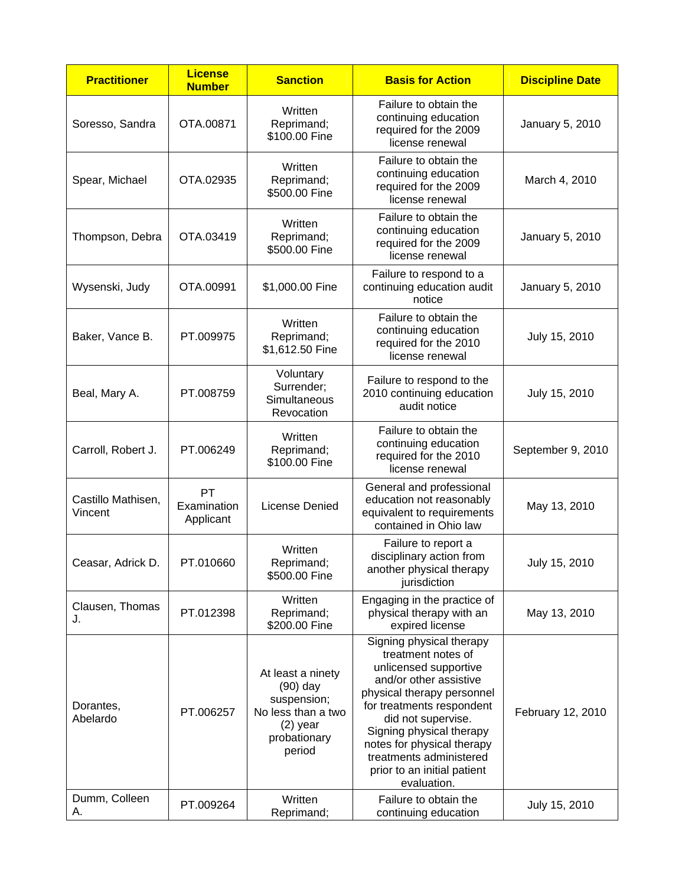| <b>Practitioner</b>           | <b>License</b><br><b>Number</b> | <b>Sanction</b>                                                                                              | <b>Basis for Action</b>                                                                                                                                                                                                                                                                                               | <b>Discipline Date</b> |
|-------------------------------|---------------------------------|--------------------------------------------------------------------------------------------------------------|-----------------------------------------------------------------------------------------------------------------------------------------------------------------------------------------------------------------------------------------------------------------------------------------------------------------------|------------------------|
| Soresso, Sandra               | OTA.00871                       | Written<br>Reprimand;<br>\$100.00 Fine                                                                       | Failure to obtain the<br>continuing education<br>required for the 2009<br>license renewal                                                                                                                                                                                                                             | January 5, 2010        |
| Spear, Michael                | OTA.02935                       | Written<br>Reprimand;<br>\$500.00 Fine                                                                       | Failure to obtain the<br>continuing education<br>required for the 2009<br>license renewal                                                                                                                                                                                                                             | March 4, 2010          |
| Thompson, Debra               | OTA.03419                       | Written<br>Reprimand;<br>\$500.00 Fine                                                                       | Failure to obtain the<br>continuing education<br>required for the 2009<br>license renewal                                                                                                                                                                                                                             | January 5, 2010        |
| Wysenski, Judy                | OTA.00991                       | \$1,000.00 Fine                                                                                              | Failure to respond to a<br>continuing education audit<br>notice                                                                                                                                                                                                                                                       | January 5, 2010        |
| Baker, Vance B.               | PT.009975                       | Written<br>Reprimand;<br>\$1,612.50 Fine                                                                     | Failure to obtain the<br>continuing education<br>required for the 2010<br>license renewal                                                                                                                                                                                                                             | July 15, 2010          |
| Beal, Mary A.                 | PT.008759                       | Voluntary<br>Surrender;<br>Simultaneous<br>Revocation                                                        | Failure to respond to the<br>2010 continuing education<br>audit notice                                                                                                                                                                                                                                                | July 15, 2010          |
| Carroll, Robert J.            | PT.006249                       | Written<br>Reprimand;<br>\$100.00 Fine                                                                       | Failure to obtain the<br>continuing education<br>required for the 2010<br>license renewal                                                                                                                                                                                                                             | September 9, 2010      |
| Castillo Mathisen,<br>Vincent | PT<br>Examination<br>Applicant  | License Denied                                                                                               | General and professional<br>education not reasonably<br>equivalent to requirements<br>contained in Ohio law                                                                                                                                                                                                           | May 13, 2010           |
| Ceasar, Adrick D.             | PT.010660                       | Written<br>Reprimand;<br>\$500.00 Fine                                                                       | Failure to report a<br>disciplinary action from<br>another physical therapy<br>jurisdiction                                                                                                                                                                                                                           | July 15, 2010          |
| Clausen, Thomas<br>J.         | PT.012398                       | Written<br>Reprimand;<br>\$200.00 Fine                                                                       | Engaging in the practice of<br>physical therapy with an<br>expired license                                                                                                                                                                                                                                            | May 13, 2010           |
| Dorantes,<br>Abelardo         | PT.006257                       | At least a ninety<br>$(90)$ day<br>suspension;<br>No less than a two<br>$(2)$ year<br>probationary<br>period | Signing physical therapy<br>treatment notes of<br>unlicensed supportive<br>and/or other assistive<br>physical therapy personnel<br>for treatments respondent<br>did not supervise.<br>Signing physical therapy<br>notes for physical therapy<br>treatments administered<br>prior to an initial patient<br>evaluation. | February 12, 2010      |
| Dumm, Colleen<br>Α.           | PT.009264                       | Written<br>Reprimand;                                                                                        | Failure to obtain the<br>continuing education                                                                                                                                                                                                                                                                         | July 15, 2010          |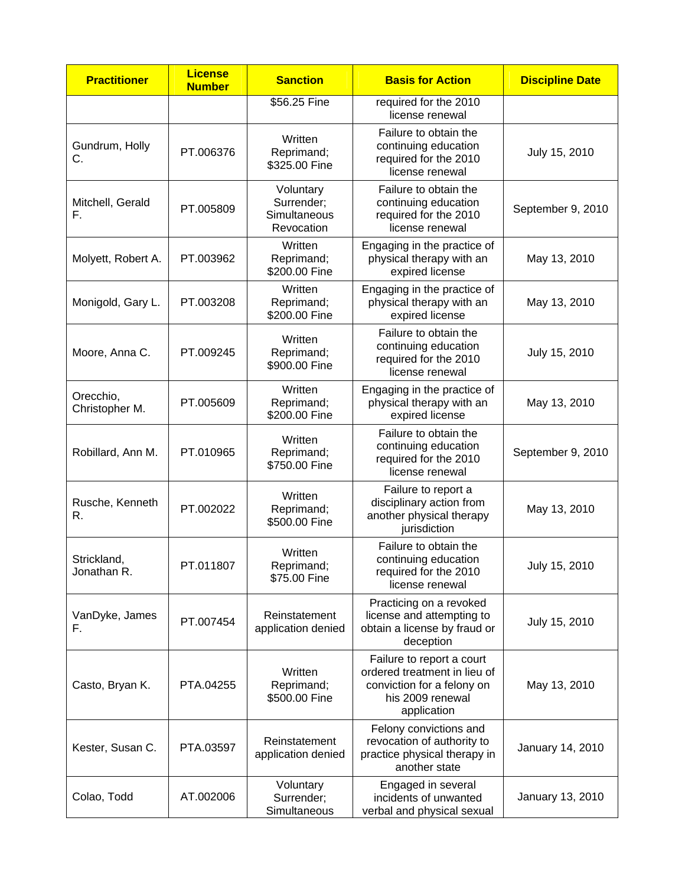| <b>Practitioner</b>         | <b>License</b><br><b>Number</b> | <b>Sanction</b>                                       | <b>Basis for Action</b>                                                                                                    | <b>Discipline Date</b> |
|-----------------------------|---------------------------------|-------------------------------------------------------|----------------------------------------------------------------------------------------------------------------------------|------------------------|
|                             |                                 | \$56.25 Fine                                          | required for the 2010<br>license renewal                                                                                   |                        |
| Gundrum, Holly<br>C.        | PT.006376                       | Written<br>Reprimand;<br>\$325.00 Fine                | Failure to obtain the<br>continuing education<br>required for the 2010<br>license renewal                                  | July 15, 2010          |
| Mitchell, Gerald<br>F.      | PT.005809                       | Voluntary<br>Surrender;<br>Simultaneous<br>Revocation | Failure to obtain the<br>continuing education<br>required for the 2010<br>license renewal                                  | September 9, 2010      |
| Molyett, Robert A.          | PT.003962                       | Written<br>Reprimand;<br>\$200.00 Fine                | Engaging in the practice of<br>physical therapy with an<br>expired license                                                 | May 13, 2010           |
| Monigold, Gary L.           | PT.003208                       | Written<br>Reprimand;<br>\$200.00 Fine                | Engaging in the practice of<br>physical therapy with an<br>expired license                                                 | May 13, 2010           |
| Moore, Anna C.              | PT.009245                       | Written<br>Reprimand;<br>\$900.00 Fine                | Failure to obtain the<br>continuing education<br>required for the 2010<br>license renewal                                  | July 15, 2010          |
| Orecchio,<br>Christopher M. | PT.005609                       | Written<br>Reprimand;<br>\$200.00 Fine                | Engaging in the practice of<br>physical therapy with an<br>expired license                                                 | May 13, 2010           |
| Robillard, Ann M.           | PT.010965                       | Written<br>Reprimand;<br>\$750.00 Fine                | Failure to obtain the<br>continuing education<br>required for the 2010<br>license renewal                                  | September 9, 2010      |
| Rusche, Kenneth<br>R.       | PT.002022                       | Written<br>Reprimand;<br>\$500.00 Fine                | Failure to report a<br>disciplinary action from<br>another physical therapy<br>jurisdiction                                | May 13, 2010           |
| Strickland,<br>Jonathan R.  | PT.011807                       | Written<br>Reprimand;<br>\$75.00 Fine                 | Failure to obtain the<br>continuing education<br>required for the 2010<br>license renewal                                  | July 15, 2010          |
| VanDyke, James<br>F.        | PT.007454                       | Reinstatement<br>application denied                   | Practicing on a revoked<br>license and attempting to<br>obtain a license by fraud or<br>deception                          | July 15, 2010          |
| Casto, Bryan K.             | PTA.04255                       | Written<br>Reprimand;<br>\$500.00 Fine                | Failure to report a court<br>ordered treatment in lieu of<br>conviction for a felony on<br>his 2009 renewal<br>application | May 13, 2010           |
| Kester, Susan C.            | PTA.03597                       | Reinstatement<br>application denied                   | Felony convictions and<br>revocation of authority to<br>practice physical therapy in<br>another state                      | January 14, 2010       |
| Colao, Todd                 | AT.002006                       | Voluntary<br>Surrender;<br>Simultaneous               | Engaged in several<br>incidents of unwanted<br>verbal and physical sexual                                                  | January 13, 2010       |